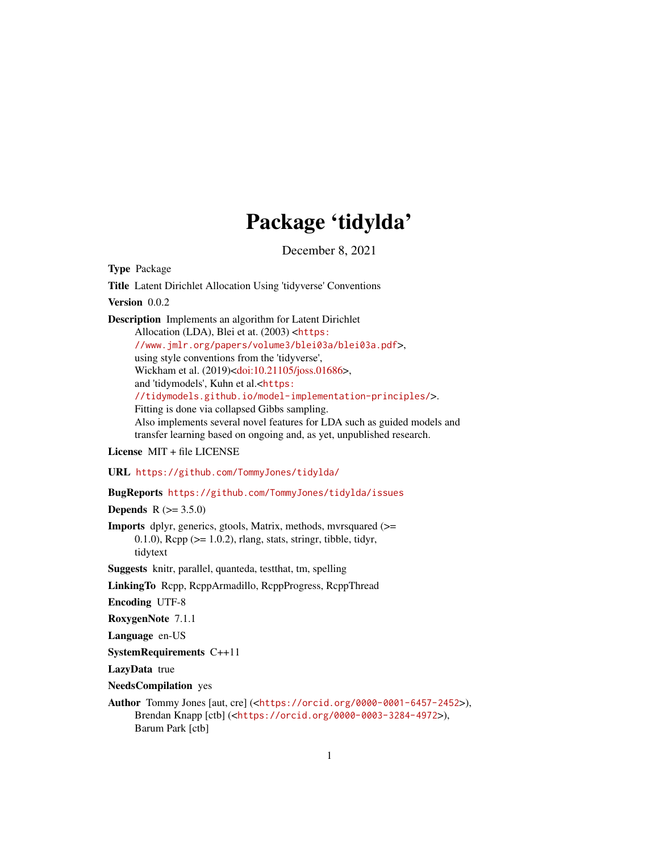# Package 'tidylda'

December 8, 2021

<span id="page-0-0"></span>Type Package Title Latent Dirichlet Allocation Using 'tidyverse' Conventions Version 0.0.2 Description Implements an algorithm for Latent Dirichlet Allocation (LDA), Blei et at. (2003) <[https:](https://www.jmlr.org/papers/volume3/blei03a/blei03a.pdf) [//www.jmlr.org/papers/volume3/blei03a/blei03a.pdf](https://www.jmlr.org/papers/volume3/blei03a/blei03a.pdf)>, using style conventions from the 'tidyverse', Wickham et al. (2019)[<doi:10.21105/joss.01686>](https://doi.org/10.21105/joss.01686), and 'tidymodels', Kuhn et al.<[https:](https://tidymodels.github.io/model-implementation-principles/) [//tidymodels.github.io/model-implementation-principles/](https://tidymodels.github.io/model-implementation-principles/)>. Fitting is done via collapsed Gibbs sampling. Also implements several novel features for LDA such as guided models and transfer learning based on ongoing and, as yet, unpublished research.

#### License MIT + file LICENSE

URL <https://github.com/TommyJones/tidylda/>

BugReports <https://github.com/TommyJones/tidylda/issues>

**Depends** R  $(>= 3.5.0)$ 

```
Imports dplyr, generics, gtools, Matrix, methods, mvrsquared (>=
      0.1.0), \text{Rcpp} (>= 1.0.2), rlang, stats, stringr, tibble, tidyr,
      tidytext
```
Suggests knitr, parallel, quanteda, testthat, tm, spelling

LinkingTo Rcpp, RcppArmadillo, RcppProgress, RcppThread

Encoding UTF-8

RoxygenNote 7.1.1

Language en-US

SystemRequirements C++11

LazyData true

NeedsCompilation yes

```
Author Tommy Jones [aut, cre] (<https://orcid.org/0000-0001-6457-2452>),
     Brendan Knapp [ctb] (<https://orcid.org/0000-0003-3284-4972>),
     Barum Park [ctb]
```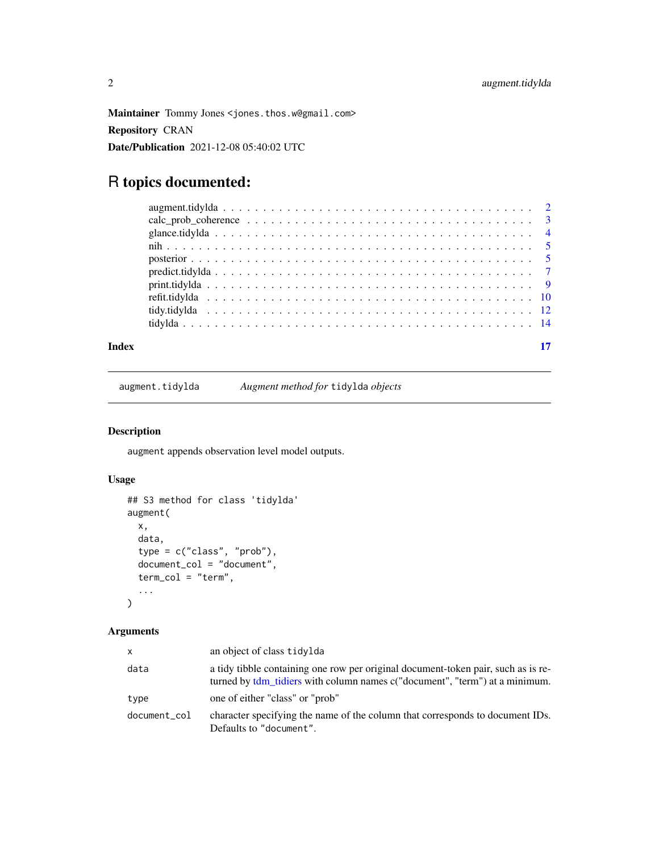<span id="page-1-0"></span>Maintainer Tommy Jones <jones.thos.w@gmail.com> Repository CRAN Date/Publication 2021-12-08 05:40:02 UTC

## R topics documented:

| Index |  |
|-------|--|
|       |  |
|       |  |
|       |  |
|       |  |
|       |  |
|       |  |
|       |  |
|       |  |
|       |  |
|       |  |

augment.tidylda *Augment method for* tidylda *objects*

#### Description

augment appends observation level model outputs.

#### Usage

```
## S3 method for class 'tidylda'
augment(
 x,
  data,
  type = c("class", "prob"),
 document_col = "document",
 term_col = "term",
  ...
)
```

| <b>X</b>     | an object of class tidylda                                                                                                                                       |
|--------------|------------------------------------------------------------------------------------------------------------------------------------------------------------------|
| data         | a tidy tibble containing one row per original document-token pair, such as is re-<br>turned by tdm tidiers with column names c("document", "term") at a minimum. |
| type         | one of either "class" or "prob"                                                                                                                                  |
| document_col | character specifying the name of the column that corresponds to document IDs.<br>Defaults to "document".                                                         |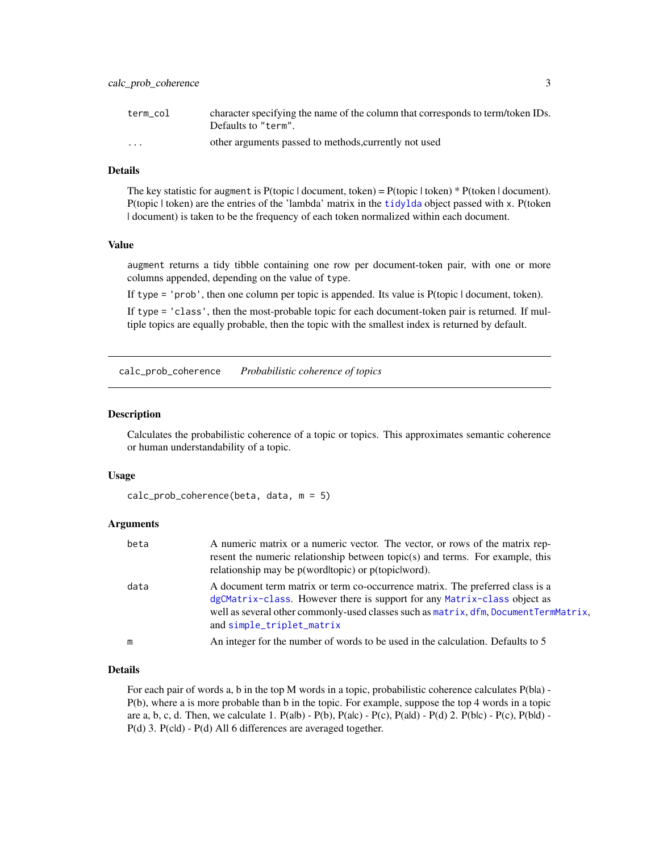<span id="page-2-0"></span>

| term col                | character specifying the name of the column that corresponds to term/token IDs.<br>Defaults to "term". |
|-------------------------|--------------------------------------------------------------------------------------------------------|
| $\cdot$ $\cdot$ $\cdot$ | other arguments passed to methods, currently not used                                                  |

#### Details

The key statistic for augment is  $P$ (topic | document, token) =  $P$ (topic | token) \*  $P$ (token | document). P(topic | token) are the entries of the 'lambda' matrix in the [tidylda](#page-13-1) object passed with x. P(token | document) is taken to be the frequency of each token normalized within each document.

#### Value

augment returns a tidy tibble containing one row per document-token pair, with one or more columns appended, depending on the value of type.

If type = 'prob', then one column per topic is appended. Its value is P(topic | document, token).

If type = 'class', then the most-probable topic for each document-token pair is returned. If multiple topics are equally probable, then the topic with the smallest index is returned by default.

calc\_prob\_coherence *Probabilistic coherence of topics*

#### Description

Calculates the probabilistic coherence of a topic or topics. This approximates semantic coherence or human understandability of a topic.

#### Usage

```
calc_prob_coherence(beta, data, m = 5)
```
#### Arguments

| beta | A numeric matrix or a numeric vector. The vector, or rows of the matrix rep-                                                                |
|------|---------------------------------------------------------------------------------------------------------------------------------------------|
|      | resent the numeric relationship between topic $(s)$ and terms. For example, this<br>relationship may be $p(wordtopic)$ or $p(topic word)$ . |
|      |                                                                                                                                             |
| data | A document term matrix or term co-occurrence matrix. The preferred class is a                                                               |
|      | dgCMatrix-class. However there is support for any Matrix-class object as                                                                    |
|      | well as several other commonly-used classes such as matrix, dfm, DocumentTermMatrix,                                                        |
|      | and simple_triplet_matrix                                                                                                                   |
| m    | An integer for the number of words to be used in the calculation. Defaults to 5                                                             |

#### Details

For each pair of words a, b in the top M words in a topic, probabilistic coherence calculates  $P(b|a)$  -P(b), where a is more probable than b in the topic. For example, suppose the top 4 words in a topic are a, b, c, d. Then, we calculate 1.  $P(ab) - P(b)$ ,  $P(ac) - P(c)$ ,  $P(ald) - P(d)$  2.  $P(bc) - P(c)$ ,  $P(bId) - P(c)$ P(d) 3. P(cld) - P(d) All 6 differences are averaged together.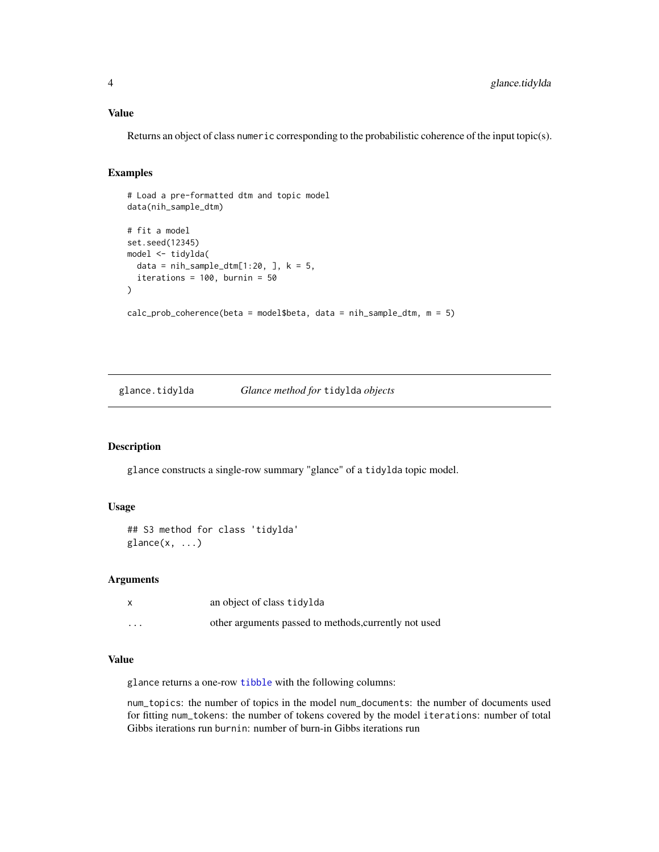#### <span id="page-3-0"></span>Value

Returns an object of class numeric corresponding to the probabilistic coherence of the input topic(s).

#### Examples

```
# Load a pre-formatted dtm and topic model
data(nih_sample_dtm)
# fit a model
set.seed(12345)
model <- tidylda(
  data = nih\_sample\_dtm[1:20, ], k = 5,
  iterations = 100, burnin = 50
)
calc_prob_coherence(beta = model$beta, data = nih_sample_dtm, m = 5)
```
glance.tidylda *Glance method for* tidylda *objects*

#### Description

glance constructs a single-row summary "glance" of a tidylda topic model.

#### Usage

```
## S3 method for class 'tidylda'
\text{glance}(x, \ldots)
```
#### Arguments

|          | an object of class tidylda                            |
|----------|-------------------------------------------------------|
| $\cdots$ | other arguments passed to methods, currently not used |

#### Value

glance returns a one-row [tibble](#page-0-0) with the following columns:

num\_topics: the number of topics in the model num\_documents: the number of documents used for fitting num\_tokens: the number of tokens covered by the model iterations: number of total Gibbs iterations run burnin: number of burn-in Gibbs iterations run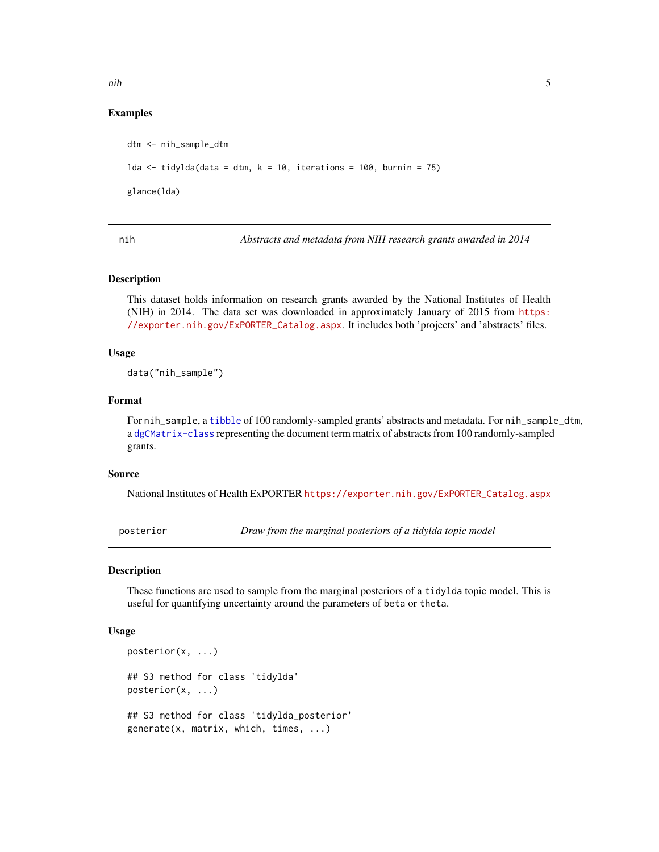<span id="page-4-0"></span>nih 5

#### Examples

dtm <- nih\_sample\_dtm lda <- tidylda(data = dtm, k = 10, iterations = 100, burnin = 75) glance(lda)

nih *Abstracts and metadata from NIH research grants awarded in 2014*

#### **Description**

This dataset holds information on research grants awarded by the National Institutes of Health (NIH) in 2014. The data set was downloaded in approximately January of 2015 from [https:](https://exporter.nih.gov/ExPORTER_Catalog.aspx) [//exporter.nih.gov/ExPORTER\\_Catalog.aspx](https://exporter.nih.gov/ExPORTER_Catalog.aspx). It includes both 'projects' and 'abstracts' files.

#### Usage

data("nih\_sample")

#### Format

For nih\_sample, a [tibble](#page-0-0) of 100 randomly-sampled grants' abstracts and metadata. For nih\_sample\_dtm, a [dgCMatrix-class](#page-0-0) representing the document term matrix of abstracts from 100 randomly-sampled grants.

#### Source

National Institutes of Health ExPORTER [https://exporter.nih.gov/ExPORTER\\_Catalog.aspx](https://exporter.nih.gov/ExPORTER_Catalog.aspx)

posterior *Draw from the marginal posteriors of a tidylda topic model*

#### Description

These functions are used to sample from the marginal posteriors of a tidylda topic model. This is useful for quantifying uncertainty around the parameters of beta or theta.

#### Usage

```
posterior(x, ...)
## S3 method for class 'tidylda'
posterior(x, ...)
## S3 method for class 'tidylda_posterior'
generate(x, matrix, which, times, ...)
```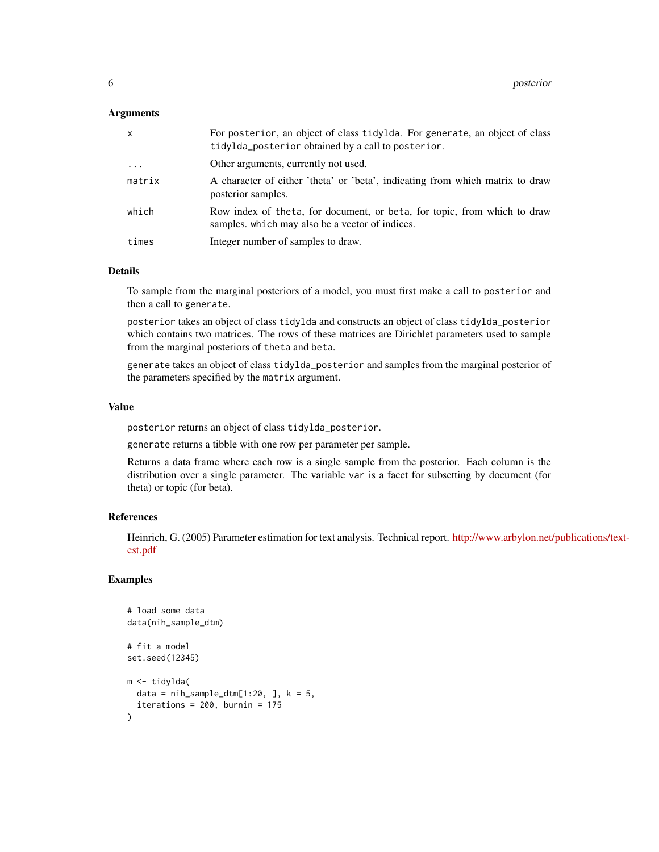#### Arguments

| x        | For posterior, an object of class tidylda. For generate, an object of class<br>tidylda_posterior obtained by a call to posterior. |
|----------|-----------------------------------------------------------------------------------------------------------------------------------|
| $\cdots$ | Other arguments, currently not used.                                                                                              |
| matrix   | A character of either 'theta' or 'beta', indicating from which matrix to draw<br>posterior samples.                               |
| which    | Row index of theta, for document, or beta, for topic, from which to draw<br>samples, which may also be a vector of indices.       |
| times    | Integer number of samples to draw.                                                                                                |

#### Details

To sample from the marginal posteriors of a model, you must first make a call to posterior and then a call to generate.

posterior takes an object of class tidylda and constructs an object of class tidylda\_posterior which contains two matrices. The rows of these matrices are Dirichlet parameters used to sample from the marginal posteriors of theta and beta.

generate takes an object of class tidylda\_posterior and samples from the marginal posterior of the parameters specified by the matrix argument.

#### Value

posterior returns an object of class tidylda\_posterior.

generate returns a tibble with one row per parameter per sample.

Returns a data frame where each row is a single sample from the posterior. Each column is the distribution over a single parameter. The variable var is a facet for subsetting by document (for theta) or topic (for beta).

#### References

Heinrich, G. (2005) Parameter estimation for text analysis. Technical report. [http://www.arbylon.net/](http://www.arbylon.net/publications/text-est.pdf)publications/text[est.pdf](http://www.arbylon.net/publications/text-est.pdf)

```
# load some data
data(nih_sample_dtm)
# fit a model
set.seed(12345)
m <- tidylda(
  data = nih\_sample\_dtm[1:20, ], k = 5,
  iterations = 200, burnin = 175
)
```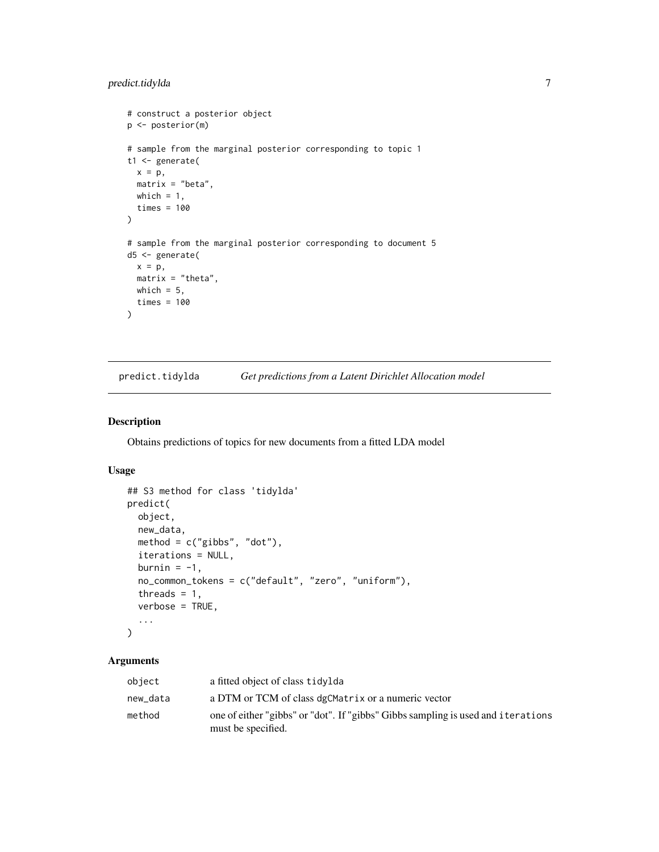#### <span id="page-6-0"></span>predict.tidylda 7

```
# construct a posterior object
p <- posterior(m)
# sample from the marginal posterior corresponding to topic 1
t1 <- generate(
 x = p,
 matrix = "beta",
 which = 1,
  times = 100
\lambda# sample from the marginal posterior corresponding to document 5
d5 <- generate(
 x = p,
 matrix = "theta",which = 5,times = 100
)
```
<span id="page-6-1"></span>predict.tidylda *Get predictions from a Latent Dirichlet Allocation model*

#### Description

Obtains predictions of topics for new documents from a fitted LDA model

#### Usage

```
## S3 method for class 'tidylda'
predict(
  object,
 new_data,
 method = c("gibbs", "dot"),iterations = NULL,
 burnin = -1,
 no_common_tokens = c("default", "zero", "uniform"),
  threads = 1,
  verbose = TRUE,
  ...
)
```

| object   | a fitted object of class tidylda                                                                       |
|----------|--------------------------------------------------------------------------------------------------------|
| new_data | a DTM or TCM of class dgCMatrix or a numeric vector                                                    |
| method   | one of either "gibbs" or "dot". If "gibbs" Gibbs sampling is used and iterations<br>must be specified. |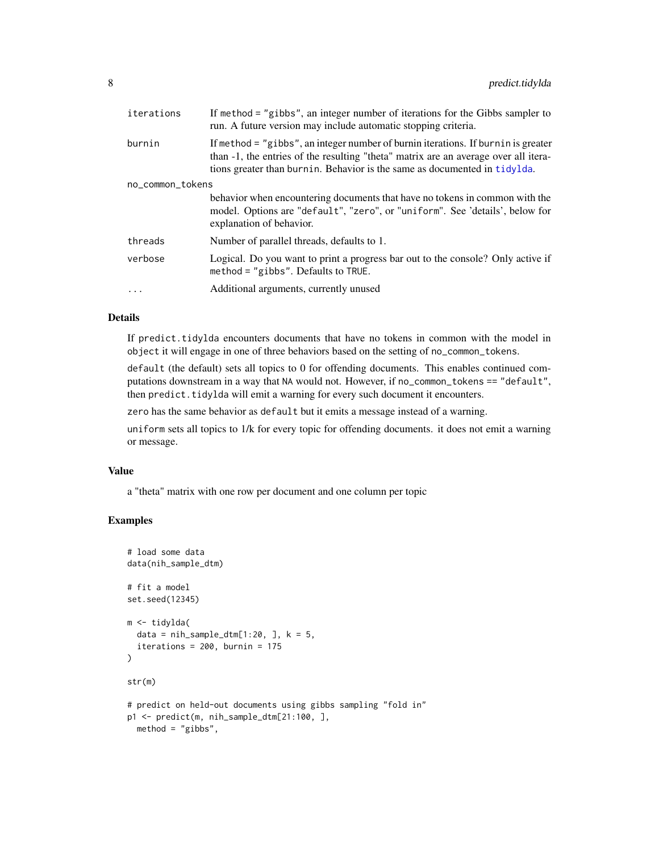<span id="page-7-0"></span>

| iterations       | If method = "gibbs", an integer number of iterations for the Gibbs sampler to<br>run. A future version may include automatic stopping criteria.                                                                                                         |  |
|------------------|---------------------------------------------------------------------------------------------------------------------------------------------------------------------------------------------------------------------------------------------------------|--|
| burnin           | If method $=$ "gibbs", an integer number of burnin iterations. If burnin is greater<br>than -1, the entries of the resulting "theta" matrix are an average over all itera-<br>tions greater than burnin. Behavior is the same as documented in tidylda. |  |
| no_common_tokens |                                                                                                                                                                                                                                                         |  |
|                  | behavior when encountering documents that have no tokens in common with the<br>model. Options are "default", "zero", or "uniform". See 'details', below for<br>explanation of behavior.                                                                 |  |
| threads          | Number of parallel threads, defaults to 1.                                                                                                                                                                                                              |  |
| verbose          | Logical. Do you want to print a progress bar out to the console? Only active if<br>method = $"gibbs"$ . Defaults to TRUE.                                                                                                                               |  |
| $\cdot$          | Additional arguments, currently unused                                                                                                                                                                                                                  |  |

#### Details

If predict.tidylda encounters documents that have no tokens in common with the model in object it will engage in one of three behaviors based on the setting of no\_common\_tokens.

default (the default) sets all topics to 0 for offending documents. This enables continued computations downstream in a way that NA would not. However, if no\_common\_tokens == "default", then predict.tidylda will emit a warning for every such document it encounters.

zero has the same behavior as default but it emits a message instead of a warning.

uniform sets all topics to 1/k for every topic for offending documents. it does not emit a warning or message.

#### Value

a "theta" matrix with one row per document and one column per topic

```
# load some data
data(nih_sample_dtm)
# fit a model
set.seed(12345)
m <- tidylda(
  data = nih\_sample\_dtm[1:20, ], k = 5,
  iterations = 200, burnin = 175
\mathcal{L}str(m)
# predict on held-out documents using gibbs sampling "fold in"
p1 <- predict(m, nih_sample_dtm[21:100, ],
 method = "gibbs",
```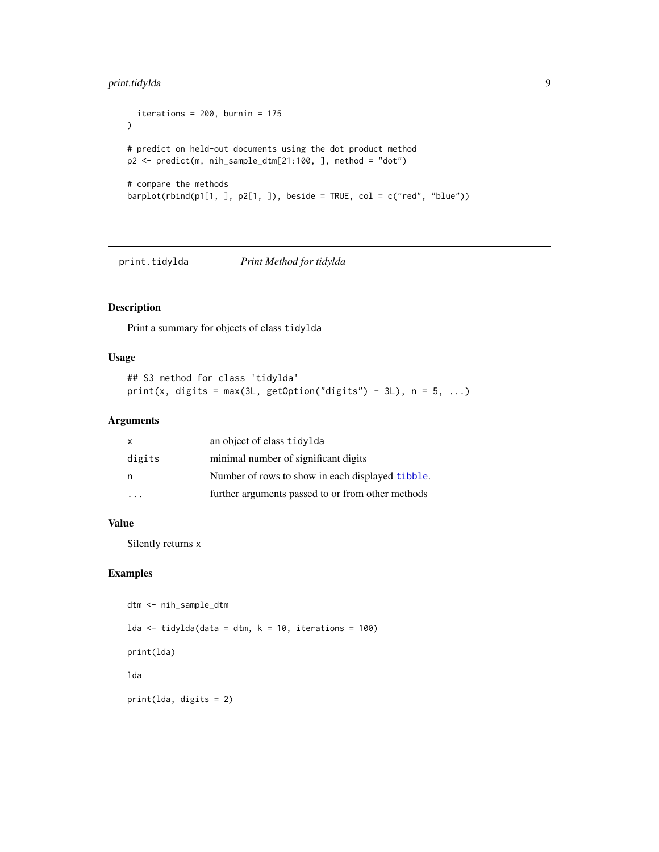## <span id="page-8-0"></span>print.tidylda 9

```
iterations = 200, burnin = 175
\lambda# predict on held-out documents using the dot product method
p2 <- predict(m, nih_sample_dtm[21:100, ], method = "dot")
# compare the methods
barplot(rbind(p1[1, ], p2[1, ]), beside = TRUE, col = c("red", "blue"))
```
print.tidylda *Print Method for tidylda*

## Description

Print a summary for objects of class tidylda

#### Usage

```
## S3 method for class 'tidylda'
print(x, digits = max(3L, getOption("digits") - 3L), n = 5, ...)
```
#### Arguments

| X      | an object of class tidylda                        |
|--------|---------------------------------------------------|
| digits | minimal number of significant digits              |
| n      | Number of rows to show in each displayed tibble.  |
|        | further arguments passed to or from other methods |

#### Value

Silently returns x

```
dtm <- nih_sample_dtm
lda <- tidylda(data = dtm, k = 10, iterations = 100)
print(lda)
lda
print(lda, digits = 2)
```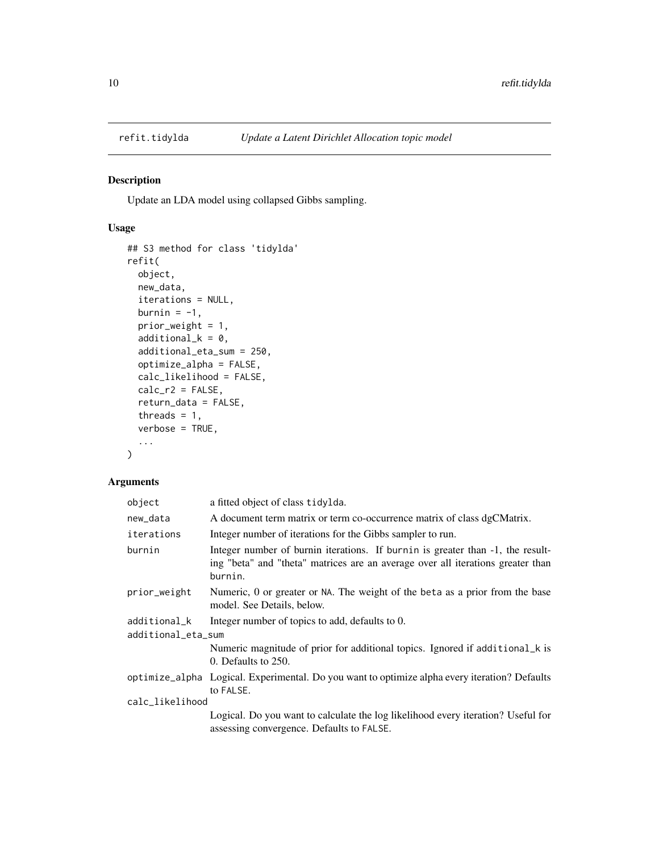<span id="page-9-1"></span><span id="page-9-0"></span>

#### Description

Update an LDA model using collapsed Gibbs sampling.

#### Usage

```
## S3 method for class 'tidylda'
refit(
 object,
 new_data,
  iterations = NULL,
 burnin = -1,
 prior_weight = 1,
 additional_k = 0,
  additional_eta_sum = 250,
 optimize_alpha = FALSE,
 calc_likelihood = FALSE,
  calc_r2 = FALSE,return_data = FALSE,
  threads = 1,
  verbose = TRUE,
  ...
)
```

| object                             | a fitted object of class tidylda.                                                                                                                                            |
|------------------------------------|------------------------------------------------------------------------------------------------------------------------------------------------------------------------------|
| new_data                           | A document term matrix or term co-occurrence matrix of class dgCMatrix.                                                                                                      |
| iterations                         | Integer number of iterations for the Gibbs sampler to run.                                                                                                                   |
| burnin                             | Integer number of burnin iterations. If burnin is greater than -1, the result-<br>ing "beta" and "theta" matrices are an average over all iterations greater than<br>burnin. |
| prior_weight                       | Numeric, 0 or greater or NA. The weight of the beta as a prior from the base<br>model. See Details, below.                                                                   |
| additional_k<br>additional_eta_sum | Integer number of topics to add, defaults to 0.                                                                                                                              |
|                                    | Numeric magnitude of prior for additional topics. Ignored if additional_k is<br>0. Defaults to 250.                                                                          |
|                                    | optimize_alpha Logical. Experimental. Do you want to optimize alpha every iteration? Defaults<br>to FALSE.                                                                   |
| calc_likelihood                    |                                                                                                                                                                              |
|                                    | Logical. Do you want to calculate the log likelihood every iteration? Useful for<br>assessing convergence. Defaults to FALSE.                                                |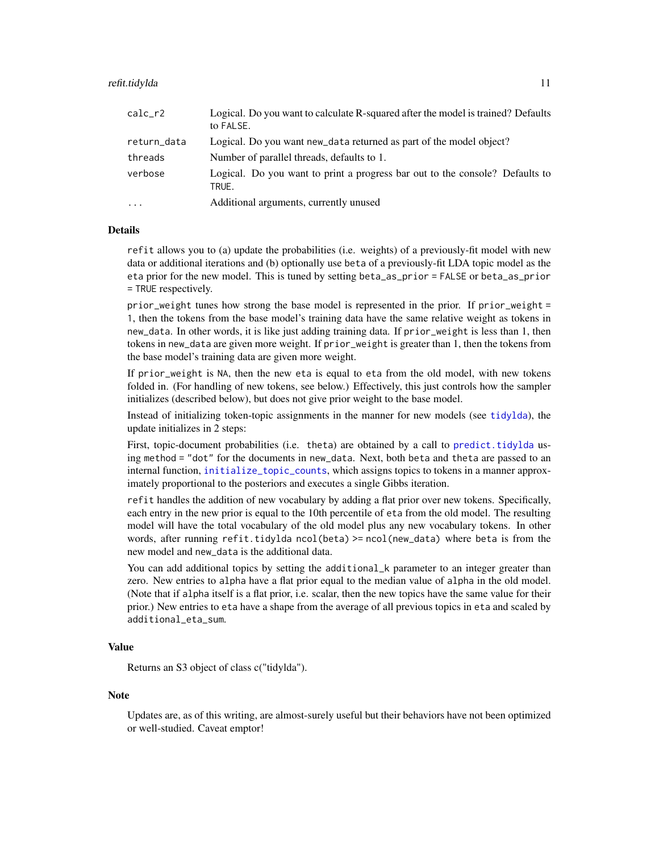#### <span id="page-10-0"></span>refit.tidylda 11

| $calc_r2$   | Logical. Do you want to calculate R-squared after the model is trained? Defaults<br>to FALSE. |
|-------------|-----------------------------------------------------------------------------------------------|
| return_data | Logical. Do you want new_data returned as part of the model object?                           |
| threads     | Number of parallel threads, defaults to 1.                                                    |
| verbose     | Logical. Do you want to print a progress bar out to the console? Defaults to<br>TRUE.         |
| $\cdot$     | Additional arguments, currently unused                                                        |

#### Details

refit allows you to (a) update the probabilities (i.e. weights) of a previously-fit model with new data or additional iterations and (b) optionally use beta of a previously-fit LDA topic model as the eta prior for the new model. This is tuned by setting beta\_as\_prior = FALSE or beta\_as\_prior = TRUE respectively.

prior\_weight tunes how strong the base model is represented in the prior. If prior\_weight = 1, then the tokens from the base model's training data have the same relative weight as tokens in new\_data. In other words, it is like just adding training data. If prior\_weight is less than 1, then tokens in new\_data are given more weight. If prior\_weight is greater than 1, then the tokens from the base model's training data are given more weight.

If prior\_weight is NA, then the new eta is equal to eta from the old model, with new tokens folded in. (For handling of new tokens, see below.) Effectively, this just controls how the sampler initializes (described below), but does not give prior weight to the base model.

Instead of initializing token-topic assignments in the manner for new models (see [tidylda](#page-13-1)), the update initializes in 2 steps:

First, topic-document probabilities (i.e. theta) are obtained by a call to [predict.tidylda](#page-6-1) using method = "dot" for the documents in new\_data. Next, both beta and theta are passed to an internal function, [initialize\\_topic\\_counts](#page-0-0), which assigns topics to tokens in a manner approximately proportional to the posteriors and executes a single Gibbs iteration.

refit handles the addition of new vocabulary by adding a flat prior over new tokens. Specifically, each entry in the new prior is equal to the 10th percentile of eta from the old model. The resulting model will have the total vocabulary of the old model plus any new vocabulary tokens. In other words, after running refit.tidylda ncol(beta) >= ncol(new\_data) where beta is from the new model and new\_data is the additional data.

You can add additional topics by setting the additional<sub>k</sub> parameter to an integer greater than zero. New entries to alpha have a flat prior equal to the median value of alpha in the old model. (Note that if alpha itself is a flat prior, i.e. scalar, then the new topics have the same value for their prior.) New entries to eta have a shape from the average of all previous topics in eta and scaled by additional\_eta\_sum.

#### Value

Returns an S3 object of class c("tidylda").

#### Note

Updates are, as of this writing, are almost-surely useful but their behaviors have not been optimized or well-studied. Caveat emptor!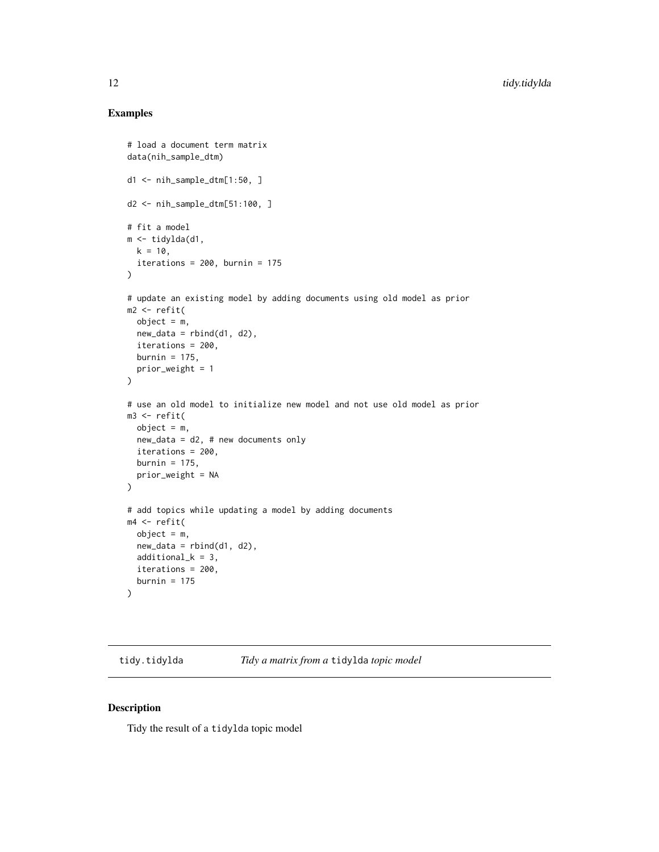#### <span id="page-11-0"></span>Examples

```
# load a document term matrix
data(nih_sample_dtm)
d1 <- nih_sample_dtm[1:50, ]
d2 <- nih_sample_dtm[51:100, ]
# fit a model
m <- tidylda(d1,
 k = 10,
  iterations = 200, burnin = 175\lambda# update an existing model by adding documents using old model as prior
m2 <- refit(
  object = m,
 new_data = rbind(d1, d2),
  iterations = 200,
  burnin = 175,
  prior_weight = 1
)
# use an old model to initialize new model and not use old model as prior
m3 <- refit(
 object = m,
 new_data = d2, # new documents only
  iterations = 200,
  burnin = 175,
  prior_weight = NA
\lambda# add topics while updating a model by adding documents
m4 < -refit(object = m,
 new_data = rbind(d1, d2),
  additional_k = 3,
  iterations = 200,
  burnin = 175)
```
tidy.tidylda *Tidy a matrix from a* tidylda *topic model*

#### Description

Tidy the result of a tidylda topic model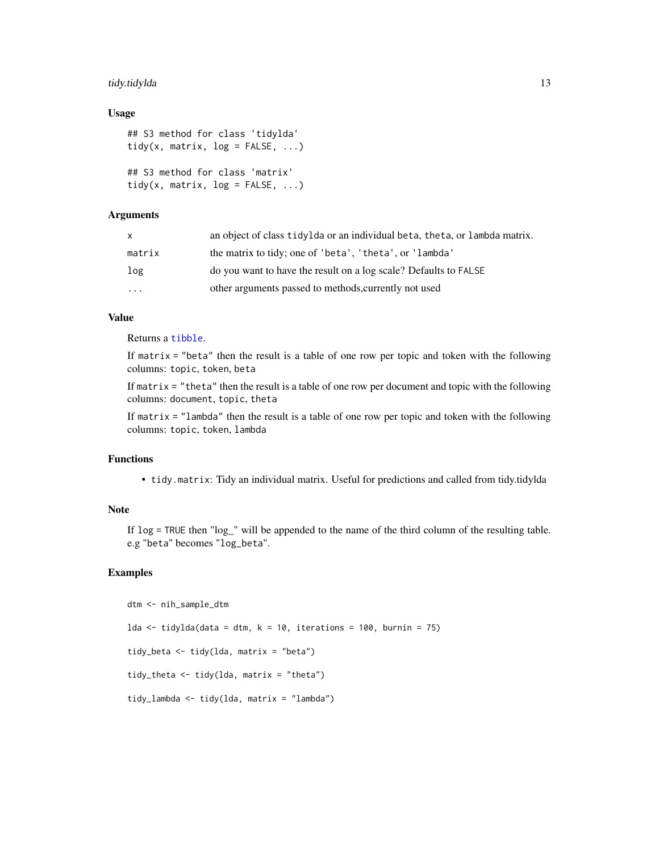#### <span id="page-12-0"></span>tidy.tidylda 13

#### Usage

```
## S3 method for class 'tidylda'
tidy(x, matrix, log = FALSE, ...)
## S3 method for class 'matrix'
tidy(x, matrix, log = FALSE, ...)
```
#### Arguments

| x.       | an object of class tidylda or an individual beta, theta, or lambda matrix. |
|----------|----------------------------------------------------------------------------|
| matrix   | the matrix to tidy; one of 'beta', 'theta', or 'lambda'                    |
| log      | do you want to have the result on a log scale? Defaults to FALSE           |
| $\cdots$ | other arguments passed to methods, currently not used                      |

#### Value

Returns a [tibble](#page-0-0).

If matrix  $=$  "beta" then the result is a table of one row per topic and token with the following columns: topic, token, beta

If matrix  $=$  "theta" then the result is a table of one row per document and topic with the following columns: document, topic, theta

If matrix  $=$  "lambda" then the result is a table of one row per topic and token with the following columns: topic, token, lambda

#### Functions

• tidy.matrix: Tidy an individual matrix. Useful for predictions and called from tidy.tidylda

#### Note

If log = TRUE then "log\_" will be appended to the name of the third column of the resulting table. e.g "beta" becomes "log\_beta".

```
dtm <- nih_sample_dtm
lda <- tidylda(data = dtm, k = 10, iterations = 100, burnin = 75)
tidy_beta <- tidy(lda, matrix = "beta")
tidy_theta <- tidy(lda, matrix = "theta")
tidy_lambda <- tidy(lda, matrix = "lambda")
```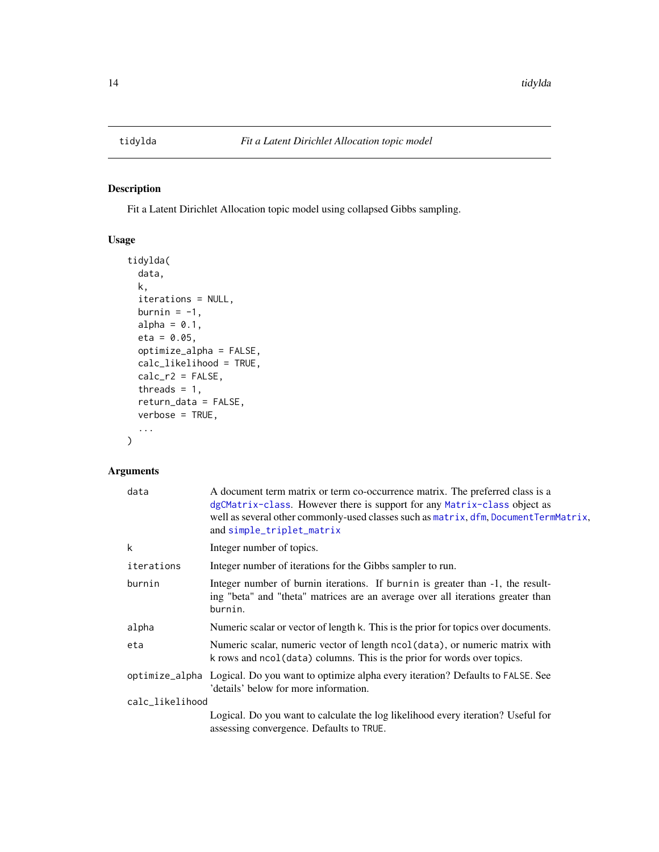#### <span id="page-13-1"></span><span id="page-13-0"></span>Description

Fit a Latent Dirichlet Allocation topic model using collapsed Gibbs sampling.

## Usage

```
tidylda(
  data,
  k,
  iterations = NULL,
 burnin = -1,
  alpha = 0.1,
 eta = 0.05,
 optimize_alpha = FALSE,
  calc_likelihood = TRUE,
  calc_r2 = FALSE,threads = 1,
  return_data = FALSE,
  verbose = TRUE,
  ...
\mathcal{L}
```

| data            | A document term matrix or term co-occurrence matrix. The preferred class is a<br>dgCMatrix-class. However there is support for any Matrix-class object as<br>well as several other commonly-used classes such as matrix, dfm, DocumentTermMatrix,<br>and simple_triplet_matrix |
|-----------------|--------------------------------------------------------------------------------------------------------------------------------------------------------------------------------------------------------------------------------------------------------------------------------|
| k               | Integer number of topics.                                                                                                                                                                                                                                                      |
| iterations      | Integer number of iterations for the Gibbs sampler to run.                                                                                                                                                                                                                     |
| burnin          | Integer number of burnin iterations. If burnin is greater than -1, the result-<br>ing "beta" and "theta" matrices are an average over all iterations greater than<br>burnin.                                                                                                   |
| alpha           | Numeric scalar or vector of length k. This is the prior for topics over documents.                                                                                                                                                                                             |
| eta             | Numeric scalar, numeric vector of length ncol (data), or numeric matrix with<br>k rows and ncol (data) columns. This is the prior for words over topics.                                                                                                                       |
|                 | optimize_alpha Logical. Do you want to optimize alpha every iteration? Defaults to FALSE. See<br>'details' below for more information.                                                                                                                                         |
| calc_likelihood |                                                                                                                                                                                                                                                                                |
|                 | Logical. Do you want to calculate the log likelihood every iteration? Useful for<br>assessing convergence. Defaults to TRUE.                                                                                                                                                   |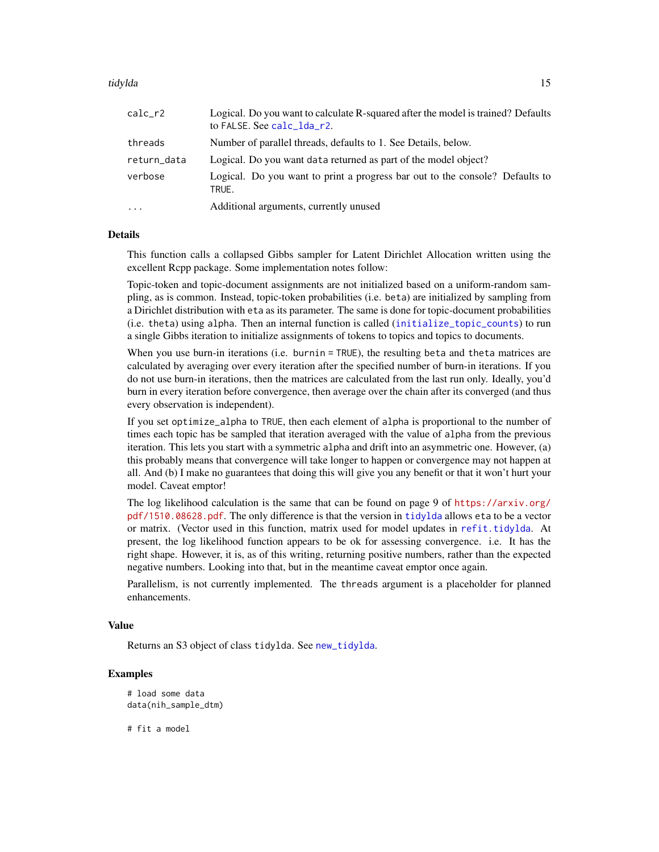#### <span id="page-14-0"></span>tidylda **15**

| calc_r2     | Logical. Do you want to calculate R-squared after the model is trained? Defaults<br>to FALSE. See calc_lda_r2. |
|-------------|----------------------------------------------------------------------------------------------------------------|
| threads     | Number of parallel threads, defaults to 1. See Details, below.                                                 |
| return_data | Logical. Do you want data returned as part of the model object?                                                |
| verbose     | Logical. Do you want to print a progress bar out to the console? Defaults to<br>TRUE.                          |
| $\cdots$    | Additional arguments, currently unused                                                                         |

#### Details

This function calls a collapsed Gibbs sampler for Latent Dirichlet Allocation written using the excellent Rcpp package. Some implementation notes follow:

Topic-token and topic-document assignments are not initialized based on a uniform-random sampling, as is common. Instead, topic-token probabilities (i.e. beta) are initialized by sampling from a Dirichlet distribution with eta as its parameter. The same is done for topic-document probabilities (i.e. theta) using alpha. Then an internal function is called ([initialize\\_topic\\_counts](#page-0-0)) to run a single Gibbs iteration to initialize assignments of tokens to topics and topics to documents.

When you use burn-in iterations (i.e. burnin = TRUE), the resulting beta and theta matrices are calculated by averaging over every iteration after the specified number of burn-in iterations. If you do not use burn-in iterations, then the matrices are calculated from the last run only. Ideally, you'd burn in every iteration before convergence, then average over the chain after its converged (and thus every observation is independent).

If you set optimize\_alpha to TRUE, then each element of alpha is proportional to the number of times each topic has be sampled that iteration averaged with the value of alpha from the previous iteration. This lets you start with a symmetric alpha and drift into an asymmetric one. However, (a) this probably means that convergence will take longer to happen or convergence may not happen at all. And (b) I make no guarantees that doing this will give you any benefit or that it won't hurt your model. Caveat emptor!

The log likelihood calculation is the same that can be found on page 9 of [https://arxiv.org/](https://arxiv.org/pdf/1510.08628.pdf) [pdf/1510.08628.pdf](https://arxiv.org/pdf/1510.08628.pdf). The only difference is that the version in [tidylda](#page-13-1) allows eta to be a vector or matrix. (Vector used in this function, matrix used for model updates in [refit.tidylda](#page-9-1). At present, the log likelihood function appears to be ok for assessing convergence. i.e. It has the right shape. However, it is, as of this writing, returning positive numbers, rather than the expected negative numbers. Looking into that, but in the meantime caveat emptor once again.

Parallelism, is not currently implemented. The threads argument is a placeholder for planned enhancements.

#### Value

Returns an S3 object of class tidylda. See [new\\_tidylda](#page-0-0).

#### Examples

```
# load some data
data(nih_sample_dtm)
```
# fit a model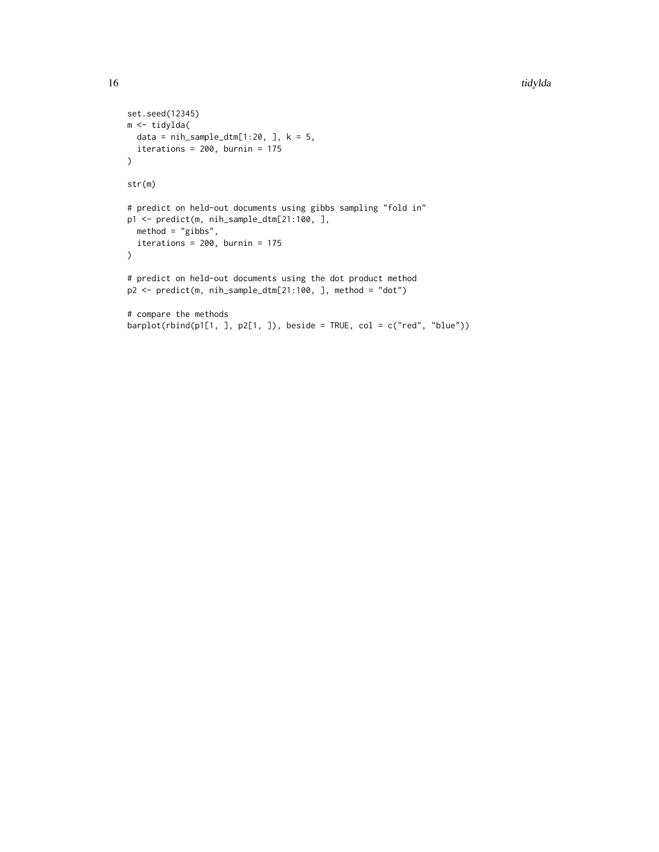```
set.seed(12345)
m <- tidylda(
 data = nih\_sample\_dtm[1:20, ], k = 5,
 iterations = 200, burnin = 175
\lambdastr(m)
# predict on held-out documents using gibbs sampling "fold in"
p1 <- predict(m, nih_sample_dtm[21:100, ],
 method = "gibbs",
  iterations = 200, burnin = 175\mathcal{L}# predict on held-out documents using the dot product method
p2 <- predict(m, nih_sample_dtm[21:100, ], method = "dot")
# compare the methods
barplot(rbind(p1[1, ], p2[1, ]), beside = TRUE, col = c("red", "blue"))
```